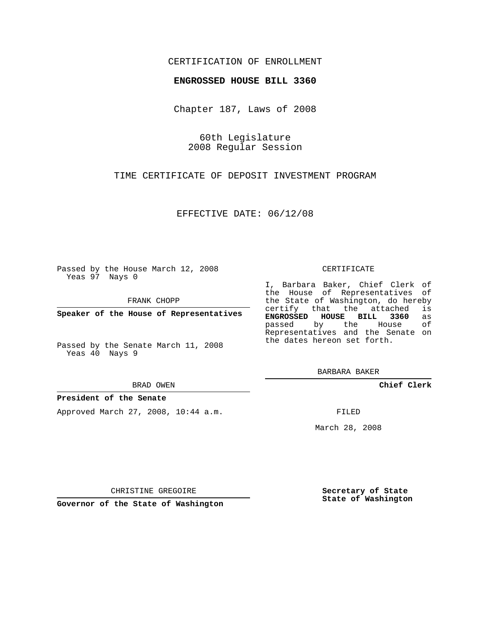## CERTIFICATION OF ENROLLMENT

## **ENGROSSED HOUSE BILL 3360**

Chapter 187, Laws of 2008

60th Legislature 2008 Regular Session

TIME CERTIFICATE OF DEPOSIT INVESTMENT PROGRAM

EFFECTIVE DATE: 06/12/08

Passed by the House March 12, 2008 Yeas 97 Nays 0

FRANK CHOPP

**Speaker of the House of Representatives**

Passed by the Senate March 11, 2008 Yeas 40 Nays 9

BRAD OWEN

## **President of the Senate**

Approved March 27, 2008, 10:44 a.m.

CERTIFICATE

I, Barbara Baker, Chief Clerk of the House of Representatives of the State of Washington, do hereby certify that the attached is **ENGROSSED HOUSE BILL 3360** as passed by the House of Representatives and the Senate on the dates hereon set forth.

BARBARA BAKER

**Chief Clerk**

FILED

March 28, 2008

CHRISTINE GREGOIRE

**Governor of the State of Washington**

**Secretary of State State of Washington**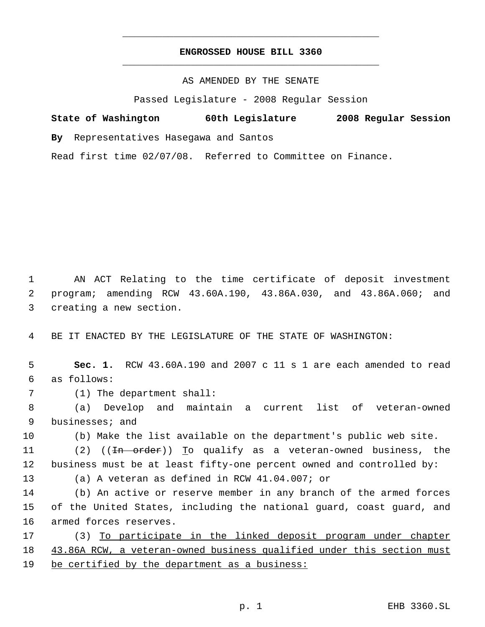## **ENGROSSED HOUSE BILL 3360** \_\_\_\_\_\_\_\_\_\_\_\_\_\_\_\_\_\_\_\_\_\_\_\_\_\_\_\_\_\_\_\_\_\_\_\_\_\_\_\_\_\_\_\_\_

\_\_\_\_\_\_\_\_\_\_\_\_\_\_\_\_\_\_\_\_\_\_\_\_\_\_\_\_\_\_\_\_\_\_\_\_\_\_\_\_\_\_\_\_\_

AS AMENDED BY THE SENATE

Passed Legislature - 2008 Regular Session

**State of Washington 60th Legislature 2008 Regular Session By** Representatives Hasegawa and Santos

Read first time 02/07/08. Referred to Committee on Finance.

 1 AN ACT Relating to the time certificate of deposit investment 2 program; amending RCW 43.60A.190, 43.86A.030, and 43.86A.060; and 3 creating a new section.

4 BE IT ENACTED BY THE LEGISLATURE OF THE STATE OF WASHINGTON:

 5 **Sec. 1.** RCW 43.60A.190 and 2007 c 11 s 1 are each amended to read 6 as follows: 7 (1) The department shall:

 8 (a) Develop and maintain a current list of veteran-owned 9 businesses; and

10 (b) Make the list available on the department's public web site.

11 (2) ((<del>In order</del>)) To qualify as a veteran-owned business, the 12 business must be at least fifty-one percent owned and controlled by:

13 (a) A veteran as defined in RCW 41.04.007; or

14 (b) An active or reserve member in any branch of the armed forces 15 of the United States, including the national guard, coast guard, and 16 armed forces reserves.

17 (3) To participate in the linked deposit program under chapter 18 43.86A RCW, a veteran-owned business qualified under this section must 19 be certified by the department as a business: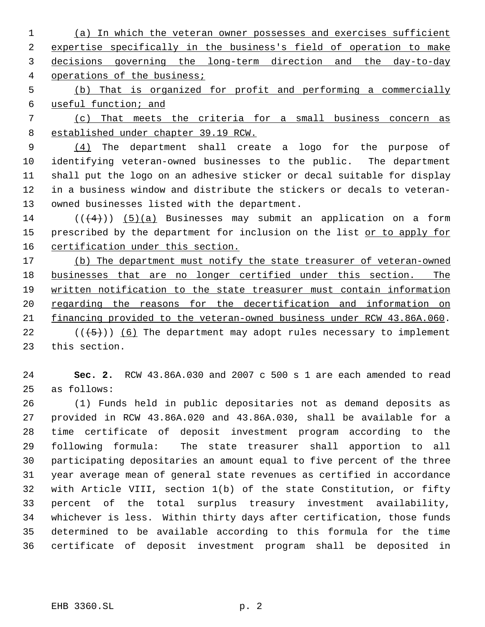(a) In which the veteran owner possesses and exercises sufficient expertise specifically in the business's field of operation to make decisions governing the long-term direction and the day-to-day operations of the business;

 (b) That is organized for profit and performing a commercially useful function; and

 (c) That meets the criteria for a small business concern as established under chapter 39.19 RCW.

 (4) The department shall create a logo for the purpose of identifying veteran-owned businesses to the public. The department shall put the logo on an adhesive sticker or decal suitable for display in a business window and distribute the stickers or decals to veteran-owned businesses listed with the department.

14  $((4+))$  (5)(a) Businesses may submit an application on a form 15 prescribed by the department for inclusion on the list or to apply for 16 certification under this section.

17 (b) The department must notify the state treasurer of veteran-owned businesses that are no longer certified under this section. The written notification to the state treasurer must contain information 20 regarding the reasons for the decertification and information on financing provided to the veteran-owned business under RCW 43.86A.060.

22  $((+5))$  (6) The department may adopt rules necessary to implement this section.

 **Sec. 2.** RCW 43.86A.030 and 2007 c 500 s 1 are each amended to read as follows:

 (1) Funds held in public depositaries not as demand deposits as provided in RCW 43.86A.020 and 43.86A.030, shall be available for a time certificate of deposit investment program according to the following formula: The state treasurer shall apportion to all participating depositaries an amount equal to five percent of the three year average mean of general state revenues as certified in accordance with Article VIII, section 1(b) of the state Constitution, or fifty percent of the total surplus treasury investment availability, whichever is less. Within thirty days after certification, those funds determined to be available according to this formula for the time certificate of deposit investment program shall be deposited in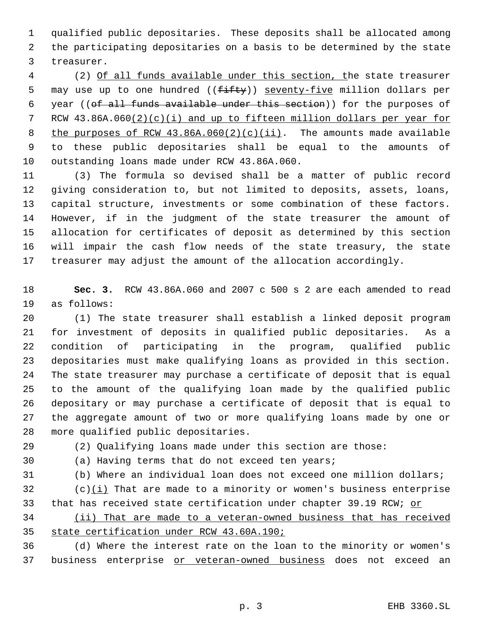qualified public depositaries. These deposits shall be allocated among the participating depositaries on a basis to be determined by the state treasurer.

 (2) Of all funds available under this section, the state treasurer 5 may use up to one hundred ((fifty)) seventy-five million dollars per year ((of all funds available under this section)) for the purposes of RCW 43.86A.060(2)(c)(i) and up to fifteen million dollars per year for 8 the purposes of RCW  $43.86A.060(2)(c)(ii)$ . The amounts made available to these public depositaries shall be equal to the amounts of outstanding loans made under RCW 43.86A.060.

 (3) The formula so devised shall be a matter of public record giving consideration to, but not limited to deposits, assets, loans, capital structure, investments or some combination of these factors. However, if in the judgment of the state treasurer the amount of allocation for certificates of deposit as determined by this section will impair the cash flow needs of the state treasury, the state treasurer may adjust the amount of the allocation accordingly.

 **Sec. 3.** RCW 43.86A.060 and 2007 c 500 s 2 are each amended to read as follows:

 (1) The state treasurer shall establish a linked deposit program for investment of deposits in qualified public depositaries. As a condition of participating in the program, qualified public depositaries must make qualifying loans as provided in this section. The state treasurer may purchase a certificate of deposit that is equal to the amount of the qualifying loan made by the qualified public depositary or may purchase a certificate of deposit that is equal to the aggregate amount of two or more qualifying loans made by one or more qualified public depositaries.

(2) Qualifying loans made under this section are those:

(a) Having terms that do not exceed ten years;

(b) Where an individual loan does not exceed one million dollars;

 (c)(i) That are made to a minority or women's business enterprise 33 that has received state certification under chapter 39.19 RCW; or

 (ii) That are made to a veteran-owned business that has received state certification under RCW 43.60A.190;

 (d) Where the interest rate on the loan to the minority or women's 37 business enterprise or veteran-owned business does not exceed an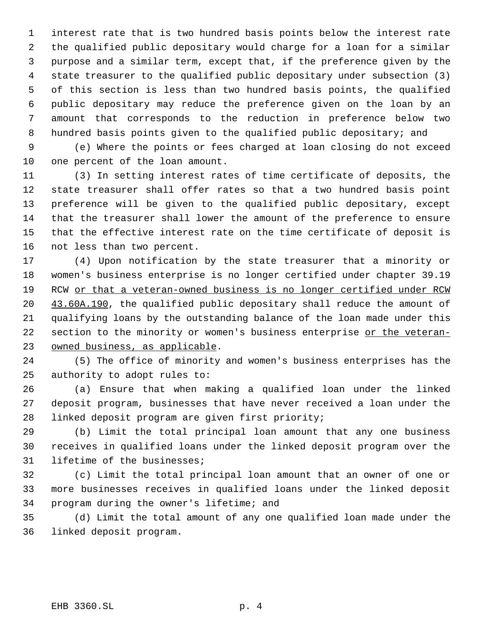interest rate that is two hundred basis points below the interest rate the qualified public depositary would charge for a loan for a similar purpose and a similar term, except that, if the preference given by the state treasurer to the qualified public depositary under subsection (3) of this section is less than two hundred basis points, the qualified public depositary may reduce the preference given on the loan by an amount that corresponds to the reduction in preference below two hundred basis points given to the qualified public depositary; and

 (e) Where the points or fees charged at loan closing do not exceed one percent of the loan amount.

 (3) In setting interest rates of time certificate of deposits, the state treasurer shall offer rates so that a two hundred basis point preference will be given to the qualified public depositary, except that the treasurer shall lower the amount of the preference to ensure that the effective interest rate on the time certificate of deposit is not less than two percent.

 (4) Upon notification by the state treasurer that a minority or women's business enterprise is no longer certified under chapter 39.19 RCW or that a veteran-owned business is no longer certified under RCW 20 43.60A.190, the qualified public depositary shall reduce the amount of qualifying loans by the outstanding balance of the loan made under this 22 section to the minority or women's business enterprise or the veteran-owned business, as applicable.

 (5) The office of minority and women's business enterprises has the authority to adopt rules to:

 (a) Ensure that when making a qualified loan under the linked deposit program, businesses that have never received a loan under the linked deposit program are given first priority;

 (b) Limit the total principal loan amount that any one business receives in qualified loans under the linked deposit program over the lifetime of the businesses;

 (c) Limit the total principal loan amount that an owner of one or more businesses receives in qualified loans under the linked deposit program during the owner's lifetime; and

 (d) Limit the total amount of any one qualified loan made under the linked deposit program.